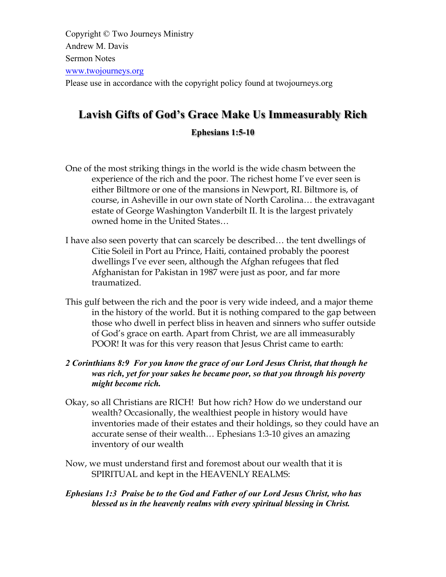Copyright © Two Journeys Ministry Andrew M. Davis Sermon Notes www.twojourneys.org Please use in accordance with the copyright policy found at twojourneys.org

# **Lavish Gifts of God's Grace Make Us Immeasurably Rich Ephesians 1:5-10**

- One of the most striking things in the world is the wide chasm between the experience of the rich and the poor. The richest home I've ever seen is either Biltmore or one of the mansions in Newport, RI. Biltmore is, of course, in Asheville in our own state of North Carolina… the extravagant estate of George Washington Vanderbilt II. It is the largest privately owned home in the United States…
- I have also seen poverty that can scarcely be described… the tent dwellings of Citie Soleil in Port au Prince, Haiti, contained probably the poorest dwellings I've ever seen, although the Afghan refugees that fled Afghanistan for Pakistan in 1987 were just as poor, and far more traumatized.
- This gulf between the rich and the poor is very wide indeed, and a major theme in the history of the world. But it is nothing compared to the gap between those who dwell in perfect bliss in heaven and sinners who suffer outside of God's grace on earth. Apart from Christ, we are all immeasurably POOR! It was for this very reason that Jesus Christ came to earth:
- *2 Corinthians 8:9 For you know the grace of our Lord Jesus Christ, that though he was rich, yet for your sakes he became poor, so that you through his poverty might become rich.*
- Okay, so all Christians are RICH! But how rich? How do we understand our wealth? Occasionally, the wealthiest people in history would have inventories made of their estates and their holdings, so they could have an accurate sense of their wealth… Ephesians 1:3-10 gives an amazing inventory of our wealth
- Now, we must understand first and foremost about our wealth that it is SPIRITUAL and kept in the HEAVENLY REALMS:
- *Ephesians 1:3 Praise be to the God and Father of our Lord Jesus Christ, who has blessed us in the heavenly realms with every spiritual blessing in Christ.*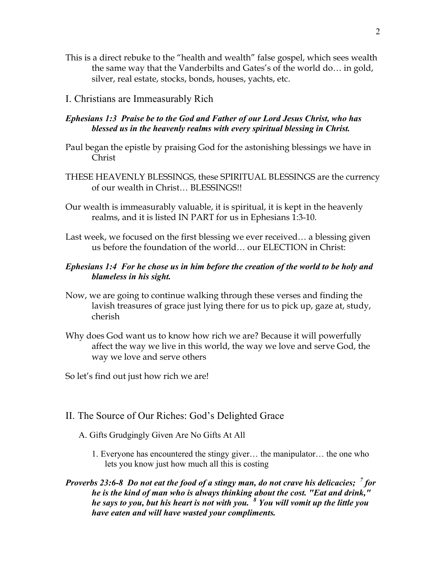- This is a direct rebuke to the "health and wealth" false gospel, which sees wealth the same way that the Vanderbilts and Gates's of the world do… in gold, silver, real estate, stocks, bonds, houses, yachts, etc.
- I. Christians are Immeasurably Rich

### *Ephesians 1:3 Praise be to the God and Father of our Lord Jesus Christ, who has blessed us in the heavenly realms with every spiritual blessing in Christ.*

- Paul began the epistle by praising God for the astonishing blessings we have in Christ
- THESE HEAVENLY BLESSINGS, these SPIRITUAL BLESSINGS are the currency of our wealth in Christ… BLESSINGS!!
- Our wealth is immeasurably valuable, it is spiritual, it is kept in the heavenly realms, and it is listed IN PART for us in Ephesians 1:3-10.
- Last week, we focused on the first blessing we ever received… a blessing given us before the foundation of the world… our ELECTION in Christ:
- *Ephesians 1:4 For he chose us in him before the creation of the world to be holy and blameless in his sight.*
- Now, we are going to continue walking through these verses and finding the lavish treasures of grace just lying there for us to pick up, gaze at, study, cherish
- Why does God want us to know how rich we are? Because it will powerfully affect the way we live in this world, the way we love and serve God, the way we love and serve others
- So let's find out just how rich we are!
- II. The Source of Our Riches: God's Delighted Grace
	- A. Gifts Grudgingly Given Are No Gifts At All
		- 1. Everyone has encountered the stingy giver… the manipulator… the one who lets you know just how much all this is costing
- *Proverbs 23:6-8 Do not eat the food of a stingy man, do not crave his delicacies; <sup>7</sup> for he is the kind of man who is always thinking about the cost. "Eat and drink," he says to you, but his heart is not with you. <sup>8</sup> You will vomit up the little you have eaten and will have wasted your compliments.*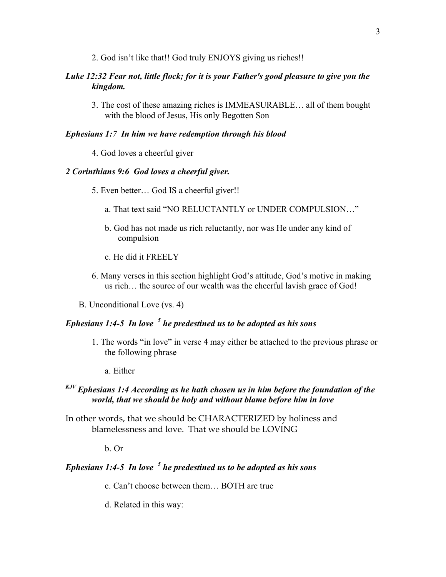2. God isn't like that!! God truly ENJOYS giving us riches!!

#### *Luke 12:32 Fear not, little flock; for it is your Father's good pleasure to give you the kingdom.*

3. The cost of these amazing riches is IMMEASURABLE… all of them bought with the blood of Jesus, His only Begotten Son

### *Ephesians 1:7 In him we have redemption through his blood*

4. God loves a cheerful giver

#### *2 Corinthians 9:6 God loves a cheerful giver.*

- 5. Even better… God IS a cheerful giver!!
	- a. That text said "NO RELUCTANTLY or UNDER COMPULSION…"
	- b. God has not made us rich reluctantly, nor was He under any kind of compulsion
	- c. He did it FREELY
- 6. Many verses in this section highlight God's attitude, God's motive in making us rich… the source of our wealth was the cheerful lavish grace of God!
- B. Unconditional Love (vs. 4)

### *Ephesians 1:4-5 In love <sup>5</sup> he predestined us to be adopted as his sons*

- 1. The words "in love" in verse 4 may either be attached to the previous phrase or the following phrase
	- a. Either

### *KJV Ephesians 1:4 According as he hath chosen us in him before the foundation of the world, that we should be holy and without blame before him in love*

In other words, that we should be CHARACTERIZED by holiness and blamelessness and love. That we should be LOVING

#### b. Or

### *Ephesians 1:4-5 In love <sup>5</sup> he predestined us to be adopted as his sons*

- c. Can't choose between them… BOTH are true
- d. Related in this way: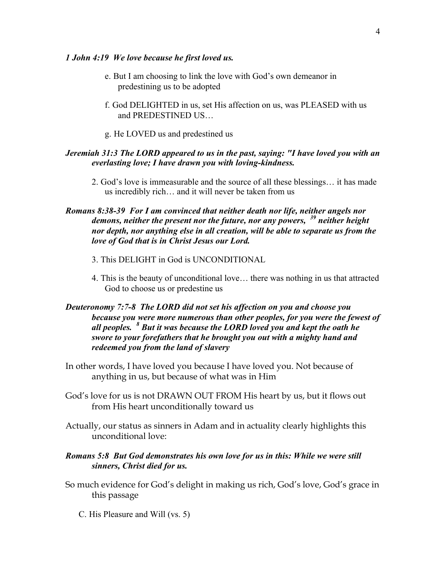#### *1 John 4:19 We love because he first loved us.*

- e. But I am choosing to link the love with God's own demeanor in predestining us to be adopted
- f. God DELIGHTED in us, set His affection on us, was PLEASED with us and PREDESTINED US…
- g. He LOVED us and predestined us

#### *Jeremiah 31:3 The LORD appeared to us in the past, saying: "I have loved you with an everlasting love; I have drawn you with loving-kindness.*

2. God's love is immeasurable and the source of all these blessings… it has made us incredibly rich… and it will never be taken from us

### *Romans 8:38-39 For I am convinced that neither death nor life, neither angels nor demons, neither the present nor the future, nor any powers, <sup>39</sup> neither height nor depth, nor anything else in all creation, will be able to separate us from the love of God that is in Christ Jesus our Lord.*

- 3. This DELIGHT in God is UNCONDITIONAL
- 4. This is the beauty of unconditional love… there was nothing in us that attracted God to choose us or predestine us

### *Deuteronomy 7:7-8 The LORD did not set his affection on you and choose you because you were more numerous than other peoples, for you were the fewest of all peoples. <sup>8</sup> But it was because the LORD loved you and kept the oath he swore to your forefathers that he brought you out with a mighty hand and redeemed you from the land of slavery*

- In other words, I have loved you because I have loved you. Not because of anything in us, but because of what was in Him
- God's love for us is not DRAWN OUT FROM His heart by us, but it flows out from His heart unconditionally toward us
- Actually, our status as sinners in Adam and in actuality clearly highlights this unconditional love:

#### *Romans 5:8 But God demonstrates his own love for us in this: While we were still sinners, Christ died for us.*

- So much evidence for God's delight in making us rich, God's love, God's grace in this passage
	- C. His Pleasure and Will (vs. 5)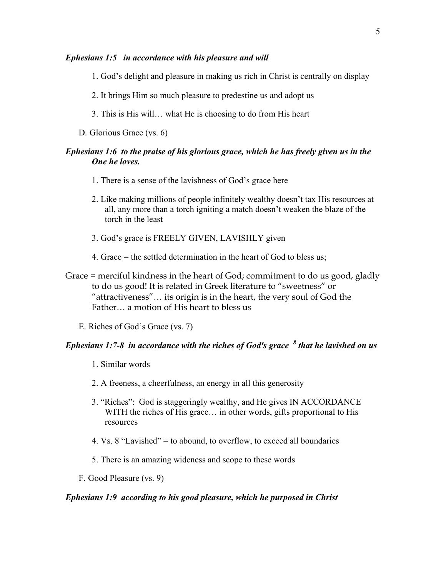#### *Ephesians 1:5 in accordance with his pleasure and will*

- 1. God's delight and pleasure in making us rich in Christ is centrally on display
- 2. It brings Him so much pleasure to predestine us and adopt us
- 3. This is His will… what He is choosing to do from His heart
- D. Glorious Grace (vs. 6)

#### *Ephesians 1:6 to the praise of his glorious grace, which he has freely given us in the One he loves.*

- 1. There is a sense of the lavishness of God's grace here
- 2. Like making millions of people infinitely wealthy doesn't tax His resources at all, any more than a torch igniting a match doesn't weaken the blaze of the torch in the least
- 3. God's grace is FREELY GIVEN, LAVISHLY given
- 4. Grace = the settled determination in the heart of God to bless us;

Grace = merciful kindness in the heart of God; commitment to do us good, gladly to do us good! It is related in Greek literature to "sweetness" or "attractiveness"… its origin is in the heart, the very soul of God the Father… a motion of His heart to bless us

E. Riches of God's Grace (vs. 7)

### *Ephesians 1:7-8 in accordance with the riches of God's grace <sup>8</sup> that he lavished on us*

- 1. Similar words
- 2. A freeness, a cheerfulness, an energy in all this generosity
- 3. "Riches": God is staggeringly wealthy, and He gives IN ACCORDANCE WITH the riches of His grace... in other words, gifts proportional to His resources
- 4. Vs. 8 "Lavished" = to abound, to overflow, to exceed all boundaries
- 5. There is an amazing wideness and scope to these words
- F. Good Pleasure (vs. 9)

#### *Ephesians 1:9 according to his good pleasure, which he purposed in Christ*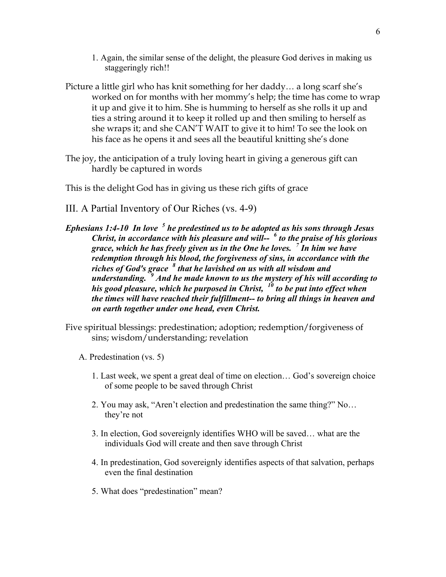- 1. Again, the similar sense of the delight, the pleasure God derives in making us staggeringly rich!!
- Picture a little girl who has knit something for her daddy… a long scarf she's worked on for months with her mommy's help; the time has come to wrap it up and give it to him. She is humming to herself as she rolls it up and ties a string around it to keep it rolled up and then smiling to herself as she wraps it; and she CAN'T WAIT to give it to him! To see the look on his face as he opens it and sees all the beautiful knitting she's done
- The joy, the anticipation of a truly loving heart in giving a generous gift can hardly be captured in words

This is the delight God has in giving us these rich gifts of grace

- III. A Partial Inventory of Our Riches (vs. 4-9)
- *Ephesians 1:4-10 In love <sup>5</sup> he predestined us to be adopted as his sons through Jesus Christ, in accordance with his pleasure and will-- <sup>6</sup> to the praise of his glorious grace, which he has freely given us in the One he loves. <sup>7</sup> In him we have redemption through his blood, the forgiveness of sins, in accordance with the riches of God's grace <sup>8</sup> that he lavished on us with all wisdom and understanding. <sup>9</sup> And he made known to us the mystery of his will according to his good pleasure, which he purposed in Christ, <sup>10</sup> to be put into effect when the times will have reached their fulfillment-- to bring all things in heaven and on earth together under one head, even Christ.*
- Five spiritual blessings: predestination; adoption; redemption/forgiveness of sins; wisdom/understanding; revelation
	- A. Predestination (vs. 5)
		- 1. Last week, we spent a great deal of time on election… God's sovereign choice of some people to be saved through Christ
		- 2. You may ask, "Aren't election and predestination the same thing?" No… they're not
		- 3. In election, God sovereignly identifies WHO will be saved… what are the individuals God will create and then save through Christ
		- 4. In predestination, God sovereignly identifies aspects of that salvation, perhaps even the final destination
		- 5. What does "predestination" mean?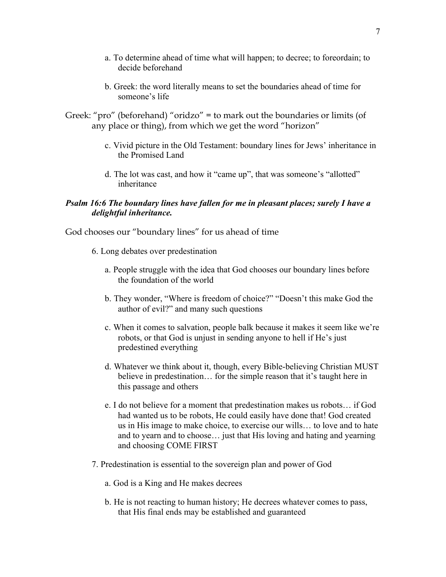- a. To determine ahead of time what will happen; to decree; to foreordain; to decide beforehand
- b. Greek: the word literally means to set the boundaries ahead of time for someone's life
- Greek: "pro" (beforehand) "oridzo" = to mark out the boundaries or limits (of any place or thing), from which we get the word "horizon"
	- c. Vivid picture in the Old Testament: boundary lines for Jews' inheritance in the Promised Land
	- d. The lot was cast, and how it "came up", that was someone's "allotted" inheritance

### *Psalm 16:6 The boundary lines have fallen for me in pleasant places; surely I have a delightful inheritance.*

God chooses our "boundary lines" for us ahead of time

- 6. Long debates over predestination
	- a. People struggle with the idea that God chooses our boundary lines before the foundation of the world
	- b. They wonder, "Where is freedom of choice?" "Doesn't this make God the author of evil?" and many such questions
	- c. When it comes to salvation, people balk because it makes it seem like we're robots, or that God is unjust in sending anyone to hell if He's just predestined everything
	- d. Whatever we think about it, though, every Bible-believing Christian MUST believe in predestination… for the simple reason that it's taught here in this passage and others
	- e. I do not believe for a moment that predestination makes us robots… if God had wanted us to be robots, He could easily have done that! God created us in His image to make choice, to exercise our wills… to love and to hate and to yearn and to choose… just that His loving and hating and yearning and choosing COME FIRST
- 7. Predestination is essential to the sovereign plan and power of God
	- a. God is a King and He makes decrees
	- b. He is not reacting to human history; He decrees whatever comes to pass, that His final ends may be established and guaranteed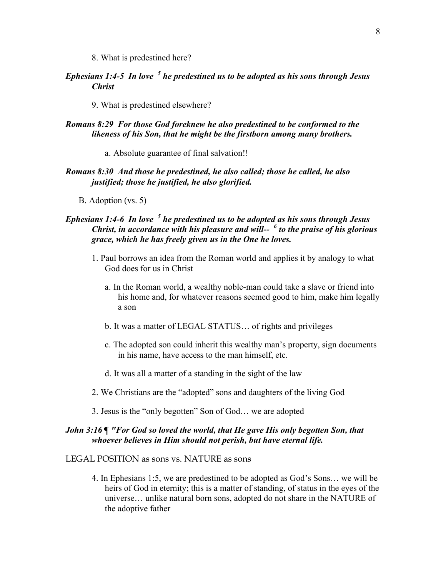8. What is predestined here?

- *Ephesians 1:4-5 In love <sup>5</sup> he predestined us to be adopted as his sons through Jesus Christ*
	- 9. What is predestined elsewhere?

### *Romans 8:29 For those God foreknew he also predestined to be conformed to the likeness of his Son, that he might be the firstborn among many brothers.*

a. Absolute guarantee of final salvation!!

#### *Romans 8:30 And those he predestined, he also called; those he called, he also justified; those he justified, he also glorified.*

B. Adoption (vs. 5)

### *Ephesians 1:4-6 In love <sup>5</sup> he predestined us to be adopted as his sons through Jesus Christ, in accordance with his pleasure and will-- <sup>6</sup> to the praise of his glorious grace, which he has freely given us in the One he loves.*

- 1. Paul borrows an idea from the Roman world and applies it by analogy to what God does for us in Christ
	- a. In the Roman world, a wealthy noble-man could take a slave or friend into his home and, for whatever reasons seemed good to him, make him legally a son
	- b. It was a matter of LEGAL STATUS… of rights and privileges
	- c. The adopted son could inherit this wealthy man's property, sign documents in his name, have access to the man himself, etc.
	- d. It was all a matter of a standing in the sight of the law
- 2. We Christians are the "adopted" sons and daughters of the living God
- 3. Jesus is the "only begotten" Son of God… we are adopted

### *John 3:16 ¶ "For God so loved the world, that He gave His only begotten Son, that whoever believes in Him should not perish, but have eternal life.*

#### LEGAL POSITION as sons vs. NATURE as sons

4. In Ephesians 1:5, we are predestined to be adopted as God's Sons… we will be heirs of God in eternity; this is a matter of standing, of status in the eyes of the universe… unlike natural born sons, adopted do not share in the NATURE of the adoptive father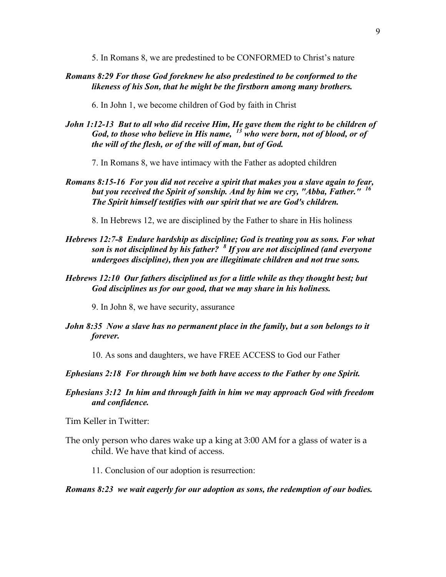5. In Romans 8, we are predestined to be CONFORMED to Christ's nature

*Romans 8:29 For those God foreknew he also predestined to be conformed to the likeness of his Son, that he might be the firstborn among many brothers.*

6. In John 1, we become children of God by faith in Christ

*John 1:12-13 But to all who did receive Him, He gave them the right to be children of God, to those who believe in His name, <sup>13</sup> who were born, not of blood, or of the will of the flesh, or of the will of man, but of God.*

7. In Romans 8, we have intimacy with the Father as adopted children

*Romans 8:15-16 For you did not receive a spirit that makes you a slave again to fear, but you received the Spirit of sonship. And by him we cry, "Abba, Father." <sup>16</sup> The Spirit himself testifies with our spirit that we are God's children.*

8. In Hebrews 12, we are disciplined by the Father to share in His holiness

- *Hebrews 12:7-8 Endure hardship as discipline; God is treating you as sons. For what son is not disciplined by his father? <sup>8</sup> If you are not disciplined (and everyone undergoes discipline), then you are illegitimate children and not true sons.*
- *Hebrews 12:10 Our fathers disciplined us for a little while as they thought best; but God disciplines us for our good, that we may share in his holiness.*

9. In John 8, we have security, assurance

- *John 8:35 Now a slave has no permanent place in the family, but a son belongs to it forever.*
	- 10. As sons and daughters, we have FREE ACCESS to God our Father

*Ephesians 2:18 For through him we both have access to the Father by one Spirit.*

*Ephesians 3:12 In him and through faith in him we may approach God with freedom and confidence.*

Tim Keller in Twitter:

The only person who dares wake up a king at 3:00 AM for a glass of water is a child. We have that kind of access.

11. Conclusion of our adoption is resurrection:

#### *Romans 8:23 we wait eagerly for our adoption as sons, the redemption of our bodies.*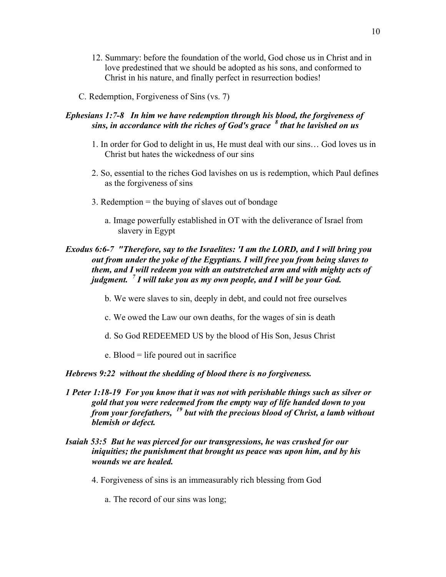- 12. Summary: before the foundation of the world, God chose us in Christ and in love predestined that we should be adopted as his sons, and conformed to Christ in his nature, and finally perfect in resurrection bodies!
- C. Redemption, Forgiveness of Sins (vs. 7)

### *Ephesians 1:7-8 In him we have redemption through his blood, the forgiveness of sins, in accordance with the riches of God's grace <sup>8</sup> that he lavished on us*

- 1. In order for God to delight in us, He must deal with our sins… God loves us in Christ but hates the wickedness of our sins
- 2. So, essential to the riches God lavishes on us is redemption, which Paul defines as the forgiveness of sins
- 3. Redemption = the buying of slaves out of bondage
	- a. Image powerfully established in OT with the deliverance of Israel from slavery in Egypt

### *Exodus 6:6-7 "Therefore, say to the Israelites: 'I am the LORD, and I will bring you out from under the yoke of the Egyptians. I will free you from being slaves to them, and I will redeem you with an outstretched arm and with mighty acts of judgment. <sup>7</sup> I will take you as my own people, and I will be your God.*

- b. We were slaves to sin, deeply in debt, and could not free ourselves
- c. We owed the Law our own deaths, for the wages of sin is death
- d. So God REDEEMED US by the blood of His Son, Jesus Christ
- e. Blood = life poured out in sacrifice

#### *Hebrews 9:22 without the shedding of blood there is no forgiveness.*

- *1 Peter 1:18-19 For you know that it was not with perishable things such as silver or gold that you were redeemed from the empty way of life handed down to you from your forefathers, <sup>19</sup> but with the precious blood of Christ, a lamb without blemish or defect.*
- *Isaiah 53:5 But he was pierced for our transgressions, he was crushed for our iniquities; the punishment that brought us peace was upon him, and by his wounds we are healed.*
	- 4. Forgiveness of sins is an immeasurably rich blessing from God
		- a. The record of our sins was long;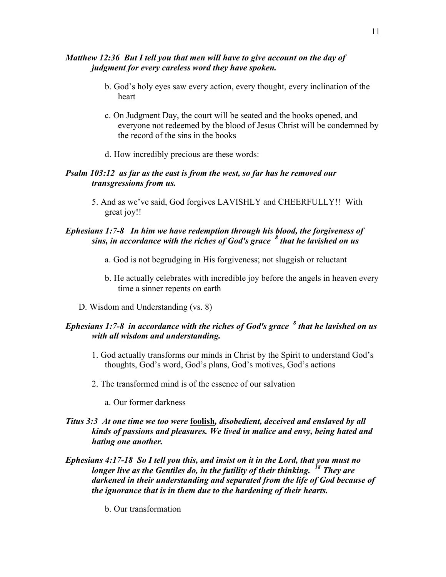### *Matthew 12:36 But I tell you that men will have to give account on the day of judgment for every careless word they have spoken.*

- b. God's holy eyes saw every action, every thought, every inclination of the heart
- c. On Judgment Day, the court will be seated and the books opened, and everyone not redeemed by the blood of Jesus Christ will be condemned by the record of the sins in the books
- d. How incredibly precious are these words:

#### *Psalm 103:12 as far as the east is from the west, so far has he removed our transgressions from us.*

5. And as we've said, God forgives LAVISHLY and CHEERFULLY!! With great joy!!

### *Ephesians 1:7-8 In him we have redemption through his blood, the forgiveness of sins, in accordance with the riches of God's grace <sup>8</sup> that he lavished on us*

- a. God is not begrudging in His forgiveness; not sluggish or reluctant
- b. He actually celebrates with incredible joy before the angels in heaven every time a sinner repents on earth
- D. Wisdom and Understanding (vs. 8)

### *Ephesians 1:7-8 in accordance with the riches of God's grace <sup>8</sup> that he lavished on us with all wisdom and understanding.*

- 1. God actually transforms our minds in Christ by the Spirit to understand God's thoughts, God's word, God's plans, God's motives, God's actions
- 2. The transformed mind is of the essence of our salvation
	- a. Our former darkness
- *Titus 3:3 At one time we too were* **foolish***, disobedient, deceived and enslaved by all kinds of passions and pleasures. We lived in malice and envy, being hated and hating one another.*
- *Ephesians 4:17-18 So I tell you this, and insist on it in the Lord, that you must no longer live as the Gentiles do, in the futility of their thinking. <sup>18</sup> They are darkened in their understanding and separated from the life of God because of the ignorance that is in them due to the hardening of their hearts.*
	- b. Our transformation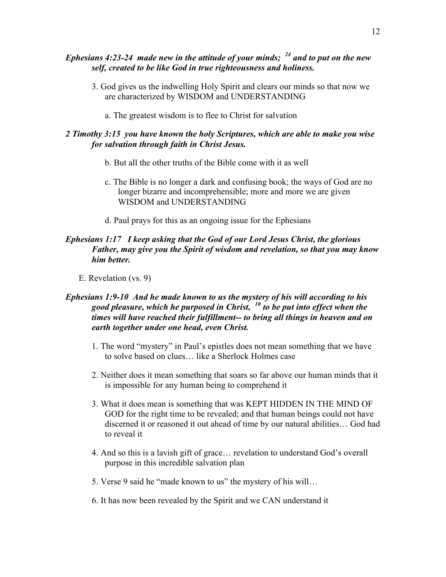### *Ephesians 4:23-24 made new in the attitude of your minds; <sup>24</sup> and to put on the new self, created to be like God in true righteousness and holiness.*

- 3. God gives us the indwelling Holy Spirit and clears our minds so that now we are characterized by WISDOM and UNDERSTANDING
	- a. The greatest wisdom is to flee to Christ for salvation

### *2 Timothy 3:15 you have known the holy Scriptures, which are able to make you wise for salvation through faith in Christ Jesus.*

- b. But all the other truths of the Bible come with it as well
- c. The Bible is no longer a dark and confusing book; the ways of God are no longer bizarre and incomprehensible; more and more we are given WISDOM and UNDERSTANDING
- d. Paul prays for this as an ongoing issue for the Ephesians

### *Ephesians 1:17 I keep asking that the God of our Lord Jesus Christ, the glorious Father, may give you the Spirit of wisdom and revelation, so that you may know him better.*

E. Revelation (vs. 9)

### *Ephesians 1:9-10 And he made known to us the mystery of his will according to his good pleasure, which he purposed in Christ, <sup>10</sup> to be put into effect when the times will have reached their fulfillment-- to bring all things in heaven and on earth together under one head, even Christ.*

- 1. The word "mystery" in Paul's epistles does not mean something that we have to solve based on clues… like a Sherlock Holmes case
- 2. Neither does it mean something that soars so far above our human minds that it is impossible for any human being to comprehend it
- 3. What it does mean is something that was KEPT HIDDEN IN THE MIND OF GOD for the right time to be revealed; and that human beings could not have discerned it or reasoned it out ahead of time by our natural abilities… God had to reveal it
- 4. And so this is a lavish gift of grace… revelation to understand God's overall purpose in this incredible salvation plan
- 5. Verse 9 said he "made known to us" the mystery of his will…
- 6. It has now been revealed by the Spirit and we CAN understand it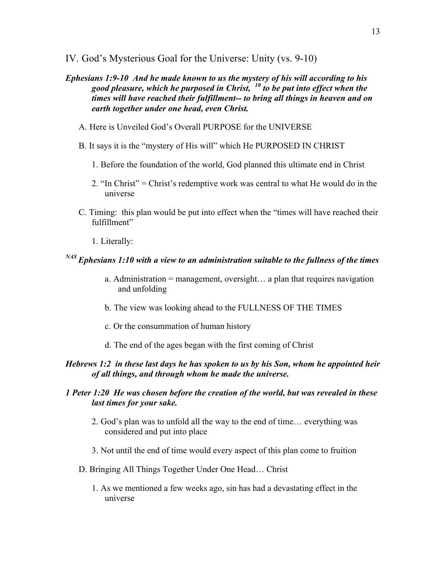- IV. God's Mysterious Goal for the Universe: Unity (vs. 9-10)
- *Ephesians 1:9-10 And he made known to us the mystery of his will according to his good pleasure, which he purposed in Christ, <sup>10</sup> to be put into effect when the times will have reached their fulfillment-- to bring all things in heaven and on earth together under one head, even Christ.*
	- A. Here is Unveiled God's Overall PURPOSE for the UNIVERSE
	- B. It says it is the "mystery of His will" which He PURPOSED IN CHRIST
		- 1. Before the foundation of the world, God planned this ultimate end in Christ
		- 2. "In Christ" = Christ's redemptive work was central to what He would do in the universe
	- C. Timing: this plan would be put into effect when the "times will have reached their fulfillment"
		- 1. Literally:

## *NAS Ephesians 1:10 with a view to an administration suitable to the fullness of the times*

- a. Administration = management, oversight… a plan that requires navigation and unfolding
- b. The view was looking ahead to the FULLNESS OF THE TIMES
- c. Or the consummation of human history
- d. The end of the ages began with the first coming of Christ

### *Hebrews 1:2 in these last days he has spoken to us by his Son, whom he appointed heir of all things, and through whom he made the universe.*

### *1 Peter 1:20 He was chosen before the creation of the world, but was revealed in these last times for your sake.*

- 2. God's plan was to unfold all the way to the end of time… everything was considered and put into place
- 3. Not until the end of time would every aspect of this plan come to fruition
- D. Bringing All Things Together Under One Head… Christ
	- 1. As we mentioned a few weeks ago, sin has had a devastating effect in the universe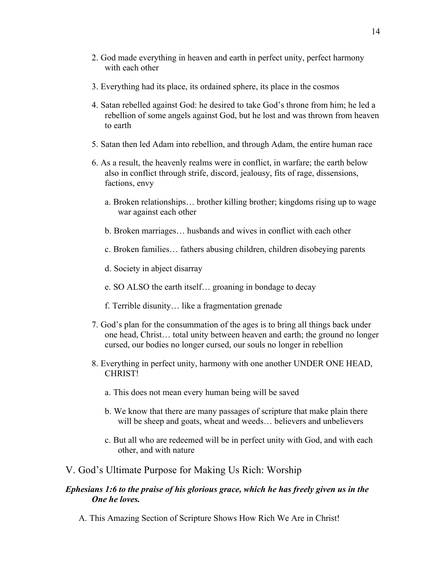- 2. God made everything in heaven and earth in perfect unity, perfect harmony with each other
- 3. Everything had its place, its ordained sphere, its place in the cosmos
- 4. Satan rebelled against God: he desired to take God's throne from him; he led a rebellion of some angels against God, but he lost and was thrown from heaven to earth
- 5. Satan then led Adam into rebellion, and through Adam, the entire human race
- 6. As a result, the heavenly realms were in conflict, in warfare; the earth below also in conflict through strife, discord, jealousy, fits of rage, dissensions, factions, envy
	- a. Broken relationships… brother killing brother; kingdoms rising up to wage war against each other
	- b. Broken marriages… husbands and wives in conflict with each other
	- c. Broken families… fathers abusing children, children disobeying parents
	- d. Society in abject disarray
	- e. SO ALSO the earth itself… groaning in bondage to decay
	- f. Terrible disunity… like a fragmentation grenade
- 7. God's plan for the consummation of the ages is to bring all things back under one head, Christ… total unity between heaven and earth; the ground no longer cursed, our bodies no longer cursed, our souls no longer in rebellion
- 8. Everything in perfect unity, harmony with one another UNDER ONE HEAD, **CHRIST!** 
	- a. This does not mean every human being will be saved
	- b. We know that there are many passages of scripture that make plain there will be sheep and goats, wheat and weeds... believers and unbelievers
	- c. But all who are redeemed will be in perfect unity with God, and with each other, and with nature

#### V. God's Ultimate Purpose for Making Us Rich: Worship

#### *Ephesians 1:6 to the praise of his glorious grace, which he has freely given us in the One he loves.*

A. This Amazing Section of Scripture Shows How Rich We Are in Christ!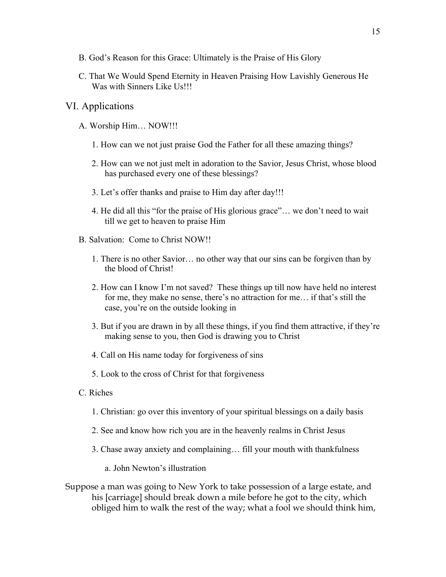- B. God's Reason for this Grace: Ultimately is the Praise of His Glory
- C. That We Would Spend Eternity in Heaven Praising How Lavishly Generous He Was with Sinners Like Us!!!

### VI. Applications

- A. Worship Him… NOW!!!
	- 1. How can we not just praise God the Father for all these amazing things?
	- 2. How can we not just melt in adoration to the Savior, Jesus Christ, whose blood has purchased every one of these blessings?
	- 3. Let's offer thanks and praise to Him day after day!!!
	- 4. He did all this "for the praise of His glorious grace"… we don't need to wait till we get to heaven to praise Him
- B. Salvation: Come to Christ NOW!!
	- 1. There is no other Savior… no other way that our sins can be forgiven than by the blood of Christ!
	- 2. How can I know I'm not saved? These things up till now have held no interest for me, they make no sense, there's no attraction for me… if that's still the case, you're on the outside looking in
	- 3. But if you are drawn in by all these things, if you find them attractive, if they're making sense to you, then God is drawing you to Christ
	- 4. Call on His name today for forgiveness of sins
	- 5. Look to the cross of Christ for that forgiveness
- C. Riches
	- 1. Christian: go over this inventory of your spiritual blessings on a daily basis
	- 2. See and know how rich you are in the heavenly realms in Christ Jesus
	- 3. Chase away anxiety and complaining… fill your mouth with thankfulness
		- a. John Newton's illustration
- Suppose a man was going to New York to take possession of a large estate, and his [carriage] should break down a mile before he got to the city, which obliged him to walk the rest of the way; what a fool we should think him,